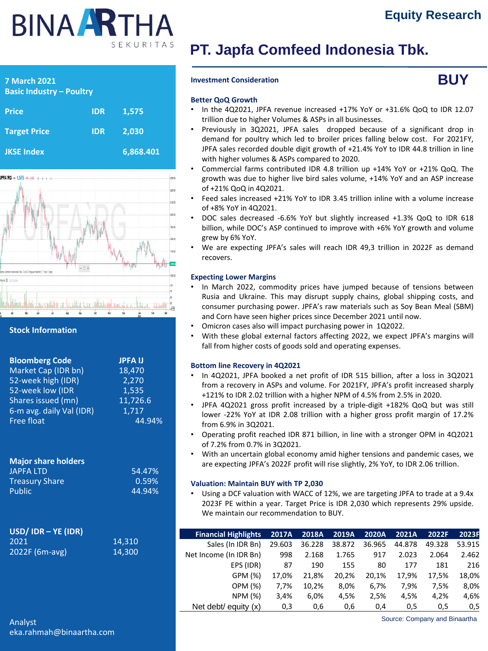# **BINA ARTHA** SEKURITAS

# **PT. Japfa Comfeed Indonesia Tbk.**

# **Investment Consideration**



# **Better QoQ Growth**

- In the 4Q2021, JPFA revenue increased +17% YoY or +31.6% QoQ to IDR 12.07 trillion due to higher Volumes & ASPs in all businesses.
- Previously in 3Q2021, JPFA sales dropped because of a significant drop in demand for poultry which led to broiler prices falling below cost. For 2021FY, JPFA sales recorded double digit growth of +21.4% YoY to IDR 44.8 trillion in line with higher volumes & ASPs compared to 2020.
- Commercial farms contributed IDR 4.8 trillion up +14% YoY or +21% QoQ. The growth was due to higher live bird sales volume, +14% YoY and an ASP increase of +21% QoQ in 4Q2021.
- Feed sales increased +21% YoY to IDR 3.45 trillion inline with a volume increase of +8% YoY in 4Q2021.
- DOC sales decreased -6.6% YoY but slightly increased +1.3% QoQ to IDR 618 billion, while DOC's ASP continued to improve with +6% YoY growth and volume grew by 6% YoY.
- We are expecting JPFA's sales will reach IDR 49,3 trillion in 2022F as demand recovers.

# **Expecting Lower Margins**

- In March 2022, commodity prices have jumped because of tensions between Rusia and Ukraine. This may disrupt supply chains, global shipping costs, and consumer purchasing power. JPFA's raw materials such as Soy Bean Meal (SBM) and Corn have seen higher prices since December 2021 until now.
- Omicron cases also will impact purchasing power in 1Q2022.
- With these global external factors affecting 2022, we expect JPFA's margins will fall from higher costs of goods sold and operating expenses.

#### **Bottom line Recovery in 4Q2021**

- In 4Q2021, JPFA booked a net profit of IDR 515 billion, after a loss in 3Q2021 from a recovery in ASPs and volume. For 2021FY, JPFA's profit increased sharply +121% to IDR 2.02 trillion with a higher NPM of 4.5% from 2.5% in 2020.
- JPFA 4Q2021 gross profit increased by a triple-digit +182% QoQ but was still lower -22% YoY at IDR 2.08 trillion with a higher gross profit margin of 17.2% from 6.9% in 3Q2021.
- Operating profit reached IDR 871 billion, in line with a stronger OPM in 4Q2021 of 7.2% from 0.7% in 3Q2021.
- With an uncertain global economy amid higher tensions and pandemic cases, we are expecting JPFA's 2022F profit will rise slightly, 2% YoY, to IDR 2.06 trillion.

# **Valuation: Maintain BUY with TP 2,030**

• Using a DCF valuation with WACC of 12%, we are targeting JPFA to trade at a 9.4x 2023F PE within a year. Target Price is IDR 2,030 which represents 29% upside. We maintain our recommendation to BUY.

| <b>Financial Highlights</b> | 2017A  | 2018A  | 2019A  | 2020A  | 2021A  | 2022F  | 2023F  |
|-----------------------------|--------|--------|--------|--------|--------|--------|--------|
| Sales (In IDR Bn)           | 29.603 | 36.228 | 38.872 | 36.965 | 44.878 | 49.328 | 53.915 |
| Net Income (In IDR Bn)      | 998    | 2.168  | 1.765  | 917    | 2.023  | 2.064  | 2.462  |
| EPS (IDR)                   | 87     | 190    | 155    | 80     | 177    | 181    | 216    |
| GPM (%)                     | 17.0%  | 21.8%  | 20.2%  | 20.1%  | 17.9%  | 17.5%  | 18,0%  |
| OPM (%)                     | 7.7%   | 10,2%  | 8,0%   | 6,7%   | 7.9%   | 7.5%   | 8,0%   |
| <b>NPM (%)</b>              | 3,4%   | 6,0%   | 4.5%   | 2.5%   | 4,5%   | 4.2%   | 4,6%   |
| Net debt/ equity $(x)$      | 0,3    | 0,6    | 0.6    | 0.4    | 0,5    | 0.5    | 0,5    |

**7 March 2021 Basic Industry – Poultry**

| <b>Price</b>        | <b>IDR</b> | 1,575     |
|---------------------|------------|-----------|
| <b>Target Price</b> | <b>IDR</b> | -2.030    |
| <b>JKSE Index</b>   |            | 6,868.401 |



**Stock Information**

| <b>Bloomberg Code</b>    | <b>JPFAIJ</b> |
|--------------------------|---------------|
| Market Cap (IDR bn)      | 18,470        |
| 52-week high (IDR)       | 2,270         |
| 52-week low (IDR         | 1,535         |
| Shares issued (mn)       | 11,726.6      |
| 6-m avg. daily Val (IDR) | 1,717         |
| <b>Free float</b>        | 44.94%        |
|                          |               |
|                          |               |

# **Major share holders**

| <b>JAPFA LTD</b>      | 54.47% |
|-----------------------|--------|
| <b>Treasury Share</b> | 0.59%  |
| Public                | 44.94% |
|                       |        |
|                       |        |

| $USD/$ IDR – YE (IDR) |        |
|-----------------------|--------|
| -2021                 | 14,310 |
| 2022F (6m-avg)        | 14,300 |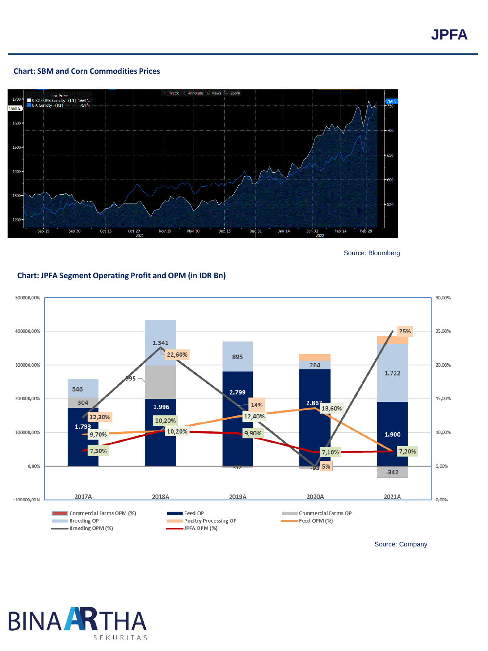#### **Chart: SBM and Corn Commodities Prices**



Source: Bloomberg



# **Chart: JPFA Segment Operating Profit and OPM (in IDR Bn)**

Source: Company

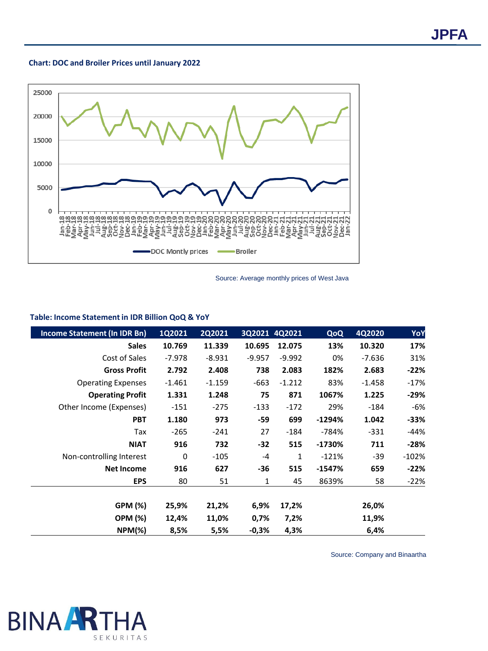### **Chart: DOC and Broiler Prices until January 2022**



Source: Average monthly prices of West Java

# **Table: Income Statement in IDR Billion QoQ & YoY**

| <b>Income Statement (In IDR Bn)</b> | 1Q2021   | <b>2Q2021</b> | 3Q2021   | 4Q2021       | QoQ      | 4Q2020   | YoY     |
|-------------------------------------|----------|---------------|----------|--------------|----------|----------|---------|
| <b>Sales</b>                        | 10.769   | 11.339        | 10.695   | 12.075       | 13%      | 10.320   | 17%     |
| Cost of Sales                       | $-7.978$ | $-8.931$      | $-9.957$ | $-9.992$     | 0%       | $-7.636$ | 31%     |
| <b>Gross Profit</b>                 | 2.792    | 2.408         | 738      | 2.083        | 182%     | 2.683    | $-22%$  |
| <b>Operating Expenses</b>           | $-1.461$ | $-1.159$      | $-663$   | $-1.212$     | 83%      | $-1.458$ | $-17%$  |
| <b>Operating Profit</b>             | 1.331    | 1.248         | 75       | 871          | 1067%    | 1.225    | $-29%$  |
| Other Income (Expenses)             | $-151$   | $-275$        | $-133$   | $-172$       | 29%      | $-184$   | -6%     |
| <b>PBT</b>                          | 1.180    | 973           | -59      | 699          | $-1294%$ | 1.042    | $-33%$  |
| Tax                                 | $-265$   | $-241$        | 27       | $-184$       | $-784%$  | $-331$   | $-44%$  |
| <b>NIAT</b>                         | 916      | 732           | $-32$    | 515          | $-1730%$ | 711      | $-28%$  |
| Non-controlling Interest            | 0        | $-105$        | $-4$     | $\mathbf{1}$ | $-121%$  | $-39$    | $-102%$ |
| <b>Net Income</b>                   | 916      | 627           | $-36$    | 515          | $-1547%$ | 659      | $-22%$  |
| <b>EPS</b>                          | 80       | 51            | 1        | 45           | 8639%    | 58       | $-22%$  |
| GPM (%)                             | 25,9%    | 21,2%         | 6,9%     | 17,2%        |          | 26,0%    |         |
| <b>OPM (%)</b>                      | 12,4%    | 11,0%         | 0,7%     | 7,2%         |          | 11,9%    |         |
| $NPM(\%)$                           | 8,5%     | 5,5%          | $-0,3%$  | 4,3%         |          | 6,4%     |         |

Source: Company and Binaartha

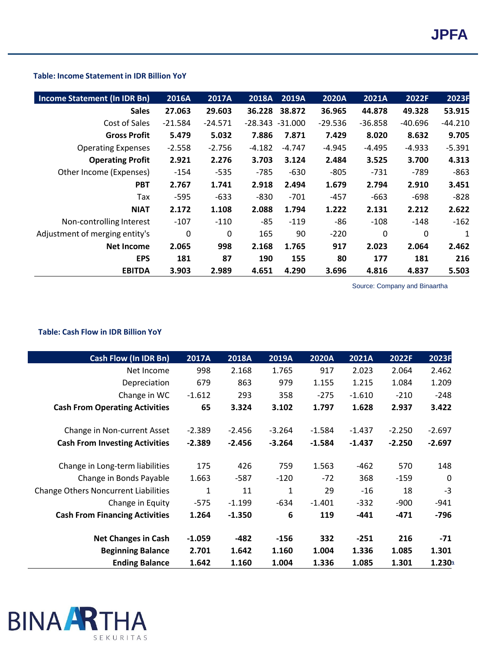# **Table: Income Statement in IDR Billion YoY**

| Income Statement (In IDR Bn)   | 2016A     | 2017A     | 2018A    | 2019A              | 2020A     | 2021A     | 2022F     | 2023F     |
|--------------------------------|-----------|-----------|----------|--------------------|-----------|-----------|-----------|-----------|
| <b>Sales</b>                   | 27.063    | 29.603    | 36.228   | 38.872             | 36.965    | 44.878    | 49.328    | 53.915    |
| Cost of Sales                  | $-21.584$ | $-24.571$ |          | $-28.343 - 31.000$ | $-29.536$ | $-36.858$ | $-40.696$ | $-44.210$ |
| <b>Gross Profit</b>            | 5.479     | 5.032     | 7.886    | 7.871              | 7.429     | 8.020     | 8.632     | 9.705     |
| <b>Operating Expenses</b>      | $-2.558$  | $-2.756$  | $-4.182$ | $-4.747$           | $-4.945$  | $-4.495$  | $-4.933$  | $-5.391$  |
| <b>Operating Profit</b>        | 2.921     | 2.276     | 3.703    | 3.124              | 2.484     | 3.525     | 3.700     | 4.313     |
| Other Income (Expenses)        | $-154$    | $-535$    | $-785$   | $-630$             | $-805$    | -731      | -789      | -863      |
| <b>PBT</b>                     | 2.767     | 1.741     | 2.918    | 2.494              | 1.679     | 2.794     | 2.910     | 3.451     |
| Tax                            | $-595$    | $-633$    | $-830$   | $-701$             | -457      | -663      | $-698$    | -828      |
| <b>NIAT</b>                    | 2.172     | 1.108     | 2.088    | 1.794              | 1.222     | 2.131     | 2.212     | 2.622     |
| Non-controlling Interest       | $-107$    | $-110$    | $-85$    | $-119$             | -86       | $-108$    | $-148$    | $-162$    |
| Adjustment of merging entity's | 0         | 0         | 165      | 90                 | $-220$    | $\Omega$  | 0         | 1         |
| <b>Net Income</b>              | 2.065     | 998       | 2.168    | 1.765              | 917       | 2.023     | 2.064     | 2.462     |
| <b>EPS</b>                     | 181       | 87        | 190      | 155                | 80        | 177       | 181       | 216       |
| <b>EBITDA</b>                  | 3.903     | 2.989     | 4.651    | 4.290              | 3.696     | 4.816     | 4.837     | 5.503     |

Source: Company and Binaartha

# **Table: Cash Flow in IDR Billion YoY**

| <b>Cash Flow (In IDR Bn)</b>                | 2017A    | 2018A    | 2019A        | 2020A    | 2021A    | 2022F    | 2023F        |
|---------------------------------------------|----------|----------|--------------|----------|----------|----------|--------------|
| Net Income                                  | 998      | 2.168    | 1.765        | 917      | 2.023    | 2.064    | 2.462        |
| Depreciation                                | 679      | 863      | 979          | 1.155    | 1.215    | 1.084    | 1.209        |
| Change in WC                                | $-1.612$ | 293      | 358          | $-275$   | $-1.610$ | $-210$   | $-248$       |
| <b>Cash From Operating Activities</b>       | 65       | 3.324    | 3.102        | 1.797    | 1.628    | 2.937    | 3.422        |
| Change in Non-current Asset                 | $-2.389$ | $-2.456$ | -3.264       | $-1.584$ | $-1.437$ | $-2.250$ | $-2.697$     |
| <b>Cash From Investing Activities</b>       | $-2.389$ | $-2.456$ | $-3.264$     | $-1.584$ | $-1.437$ | $-2.250$ | $-2.697$     |
| Change in Long-term liabilities             | 175      | 426      | 759          | 1.563    | $-462$   | 570      | 148          |
| Change in Bonds Payable                     | 1.663    | -587     | $-120$       | $-72$    | 368      | -159     | $\mathbf{0}$ |
| <b>Change Others Noncurrent Liabilities</b> | 1        | 11       | $\mathbf{1}$ | 29       | $-16$    | 18       | $-3$         |
| Change in Equity                            | $-575$   | $-1.199$ | $-634$       | $-1.401$ | $-332$   | $-900$   | $-941$       |
| <b>Cash From Financing Activities</b>       | 1.264    | $-1.350$ | 6            | 119      | $-441$   | $-471$   | -796         |
| <b>Net Changes in Cash</b>                  | $-1.059$ | $-482$   | $-156$       | 332      | $-251$   | 216      | $-71$        |
| <b>Beginning Balance</b>                    | 2.701    | 1.642    | 1.160        | 1.004    | 1.336    | 1.085    | 1.301        |
| <b>Ending Balance</b>                       | 1.642    | 1.160    | 1.004        | 1.336    | 1.085    | 1.301    | 1.230a       |

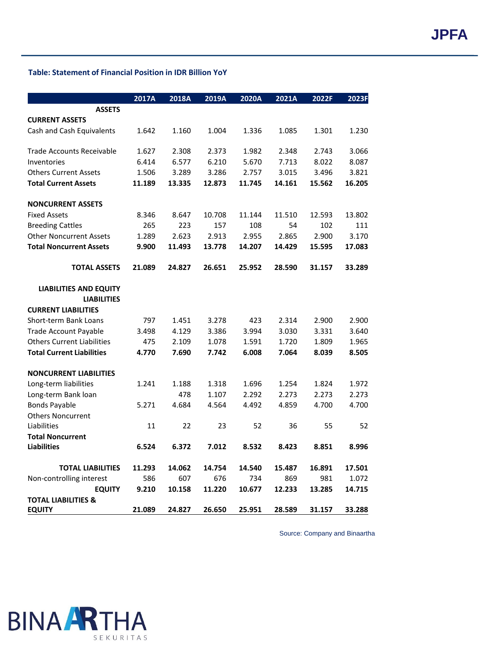# **Table: Statement of Financial Position in IDR Billion YoY**

|                                   | 2017A  | 2018A  | 2019A  | 2020A  | 2021A  | 2022F  | 2023F  |
|-----------------------------------|--------|--------|--------|--------|--------|--------|--------|
| <b>ASSETS</b>                     |        |        |        |        |        |        |        |
| <b>CURRENT ASSETS</b>             |        |        |        |        |        |        |        |
| Cash and Cash Equivalents         | 1.642  | 1.160  | 1.004  | 1.336  | 1.085  | 1.301  | 1.230  |
|                                   |        |        |        |        |        |        |        |
| <b>Trade Accounts Receivable</b>  | 1.627  | 2.308  | 2.373  | 1.982  | 2.348  | 2.743  | 3.066  |
| Inventories                       | 6.414  | 6.577  | 6.210  | 5.670  | 7.713  | 8.022  | 8.087  |
| <b>Others Current Assets</b>      | 1.506  | 3.289  | 3.286  | 2.757  | 3.015  | 3.496  | 3.821  |
| <b>Total Current Assets</b>       | 11.189 | 13.335 | 12.873 | 11.745 | 14.161 | 15.562 | 16.205 |
| <b>NONCURRENT ASSETS</b>          |        |        |        |        |        |        |        |
| <b>Fixed Assets</b>               | 8.346  | 8.647  | 10.708 | 11.144 | 11.510 | 12.593 | 13.802 |
| <b>Breeding Cattles</b>           | 265    | 223    | 157    | 108    | 54     | 102    | 111    |
| <b>Other Noncurrent Assets</b>    | 1.289  | 2.623  | 2.913  | 2.955  | 2.865  | 2.900  | 3.170  |
| <b>Total Noncurrent Assets</b>    | 9.900  | 11.493 | 13.778 | 14.207 | 14.429 | 15.595 | 17.083 |
| <b>TOTAL ASSETS</b>               | 21.089 | 24.827 | 26.651 | 25.952 | 28.590 | 31.157 | 33.289 |
|                                   |        |        |        |        |        |        |        |
| <b>LIABILITIES AND EQUITY</b>     |        |        |        |        |        |        |        |
| <b>LIABILITIES</b>                |        |        |        |        |        |        |        |
| <b>CURRENT LIABILITIES</b>        |        |        |        |        |        |        |        |
| Short-term Bank Loans             | 797    | 1.451  | 3.278  | 423    | 2.314  | 2.900  | 2.900  |
| <b>Trade Account Payable</b>      | 3.498  | 4.129  | 3.386  | 3.994  | 3.030  | 3.331  | 3.640  |
| <b>Others Current Liabilities</b> | 475    | 2.109  | 1.078  | 1.591  | 1.720  | 1.809  | 1.965  |
| <b>Total Current Liabilities</b>  | 4.770  | 7.690  | 7.742  | 6.008  | 7.064  | 8.039  | 8.505  |
| <b>NONCURRENT LIABILITIES</b>     |        |        |        |        |        |        |        |
| Long-term liabilities             | 1.241  | 1.188  | 1.318  | 1.696  | 1.254  | 1.824  | 1.972  |
| Long-term Bank loan               |        | 478    | 1.107  | 2.292  | 2.273  | 2.273  | 2.273  |
| <b>Bonds Payable</b>              | 5.271  | 4.684  | 4.564  | 4.492  | 4.859  | 4.700  | 4.700  |
| <b>Others Noncurrent</b>          |        |        |        |        |        |        |        |
| Liabilities                       | 11     | 22     | 23     | 52     | 36     | 55     | 52     |
| <b>Total Noncurrent</b>           |        |        |        |        |        |        |        |
| <b>Liabilities</b>                | 6.524  | 6.372  | 7.012  | 8.532  | 8.423  | 8.851  | 8.996  |
| <b>TOTAL LIABILITIES</b>          | 11.293 | 14.062 | 14.754 | 14.540 | 15.487 | 16.891 | 17.501 |
| Non-controlling interest          | 586    | 607    | 676    | 734    | 869    | 981    | 1.072  |
| <b>EQUITY</b>                     | 9.210  | 10.158 | 11.220 | 10.677 | 12.233 | 13.285 | 14.715 |
| <b>TOTAL LIABILITIES &amp;</b>    |        |        |        |        |        |        |        |
| <b>EQUITY</b>                     | 21.089 | 24.827 | 26.650 | 25.951 | 28.589 | 31.157 | 33.288 |

Source: Company and Binaartha

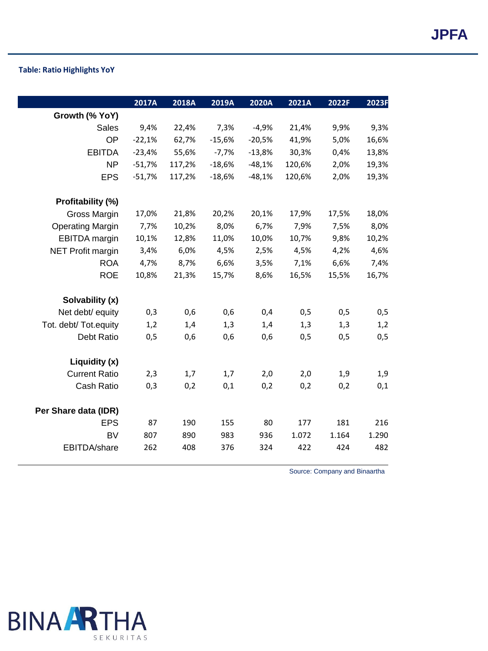**Table: Ratio Highlights YoY**

|                                    | 2017A    | 2018A  | 2019A    | 2020A    | 2021A  | 2022F | 2023F |
|------------------------------------|----------|--------|----------|----------|--------|-------|-------|
| Growth (% YoY)                     |          |        |          |          |        |       |       |
| Sales                              | 9,4%     | 22,4%  | 7,3%     | $-4,9%$  | 21,4%  | 9,9%  | 9,3%  |
| <b>OP</b>                          | $-22,1%$ | 62,7%  | $-15,6%$ | $-20,5%$ | 41,9%  | 5,0%  | 16,6% |
| <b>EBITDA</b>                      | $-23,4%$ | 55,6%  | $-7,7%$  | $-13,8%$ | 30,3%  | 0,4%  | 13,8% |
| <b>NP</b>                          | $-51,7%$ | 117,2% | $-18,6%$ | $-48,1%$ | 120,6% | 2,0%  | 19,3% |
| <b>EPS</b>                         | $-51,7%$ | 117,2% | $-18,6%$ | $-48,1%$ | 120,6% | 2,0%  | 19,3% |
| Profitability (%)                  |          |        |          |          |        |       |       |
| <b>Gross Margin</b>                | 17,0%    | 21,8%  | 20,2%    | 20,1%    | 17,9%  | 17,5% | 18,0% |
| <b>Operating Margin</b>            | 7,7%     | 10,2%  | 8,0%     | 6,7%     | 7,9%   | 7,5%  | 8,0%  |
| <b>EBITDA</b> margin               | 10,1%    | 12,8%  | 11,0%    | 10,0%    | 10,7%  | 9,8%  | 10,2% |
| <b>NET Profit margin</b>           | 3,4%     | 6,0%   | 4,5%     | 2,5%     | 4,5%   | 4,2%  | 4,6%  |
| <b>ROA</b>                         | 4,7%     | 8,7%   | 6,6%     | 3,5%     | 7,1%   | 6,6%  | 7,4%  |
| <b>ROE</b>                         | 10,8%    | 21,3%  | 15,7%    | 8,6%     | 16,5%  | 15,5% | 16,7% |
| Solvability (x)                    |          |        |          |          |        |       |       |
| Net debt/ equity                   | 0,3      | 0,6    | 0,6      | 0,4      | 0,5    | 0,5   | 0,5   |
| Tot. debt/ Tot.equity              | 1,2      | 1,4    | 1,3      | 1,4      | 1,3    | 1,3   | 1,2   |
| Debt Ratio                         | 0,5      | 0,6    | 0,6      | 0,6      | 0,5    | 0,5   | 0,5   |
| Liquidity (x)                      |          |        |          |          |        |       |       |
| <b>Current Ratio</b>               | 2,3      | 1,7    | 1,7      | 2,0      | 2,0    | 1,9   | 1,9   |
| Cash Ratio                         | 0,3      | 0,2    | 0,1      | 0,2      | 0,2    | 0,2   | 0,1   |
|                                    |          |        |          |          |        |       |       |
| Per Share data (IDR)<br><b>EPS</b> | 87       | 190    | 155      | 80       | 177    | 181   | 216   |
| <b>BV</b>                          | 807      | 890    | 983      | 936      | 1.072  | 1.164 | 1.290 |
|                                    | 262      | 408    | 376      | 324      | 422    | 424   | 482   |
| EBITDA/share                       |          |        |          |          |        |       |       |

Source: Company and Binaartha